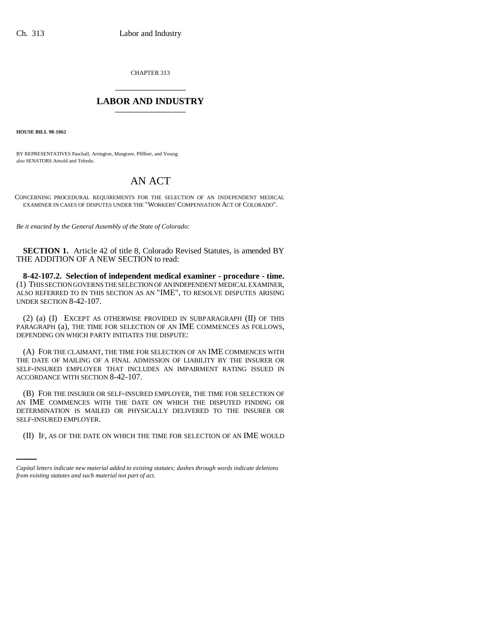CHAPTER 313 \_\_\_\_\_\_\_\_\_\_\_\_\_\_\_

## **LABOR AND INDUSTRY** \_\_\_\_\_\_\_\_\_\_\_\_\_\_\_

**HOUSE BILL 98-1062**

BY REPRESENTATIVES Paschall, Arrington, Musgrave, Pfiffner, and Young; also SENATORS Arnold and Tebedo.

## AN ACT

CONCERNING PROCEDURAL REQUIREMENTS FOR THE SELECTION OF AN INDEPENDENT MEDICAL EXAMINER IN CASES OF DISPUTES UNDER THE "WORKERS'COMPENSATION ACT OF COLORADO".

*Be it enacted by the General Assembly of the State of Colorado:*

**SECTION 1.** Article 42 of title 8, Colorado Revised Statutes, is amended BY THE ADDITION OF A NEW SECTION to read:

**8-42-107.2. Selection of independent medical examiner - procedure - time.** (1) THIS SECTION GOVERNS THE SELECTION OF AN INDEPENDENT MEDICAL EXAMINER, ALSO REFERRED TO IN THIS SECTION AS AN "IME", TO RESOLVE DISPUTES ARISING UNDER SECTION 8-42-107.

(2) (a) (I) EXCEPT AS OTHERWISE PROVIDED IN SUBPARAGRAPH (II) OF THIS PARAGRAPH (a), THE TIME FOR SELECTION OF AN IME COMMENCES AS FOLLOWS, DEPENDING ON WHICH PARTY INITIATES THE DISPUTE:

(A) FOR THE CLAIMANT, THE TIME FOR SELECTION OF AN IME COMMENCES WITH THE DATE OF MAILING OF A FINAL ADMISSION OF LIABILITY BY THE INSURER OR SELF-INSURED EMPLOYER THAT INCLUDES AN IMPAIRMENT RATING ISSUED IN ACCORDANCE WITH SECTION 8-42-107.

SELF-INSURED EMPLOYER. (B) FOR THE INSURER OR SELF-INSURED EMPLOYER, THE TIME FOR SELECTION OF AN IME COMMENCES WITH THE DATE ON WHICH THE DISPUTED FINDING OR DETERMINATION IS MAILED OR PHYSICALLY DELIVERED TO THE INSURER OR

(II) IF, AS OF THE DATE ON WHICH THE TIME FOR SELECTION OF AN IME WOULD

*Capital letters indicate new material added to existing statutes; dashes through words indicate deletions from existing statutes and such material not part of act.*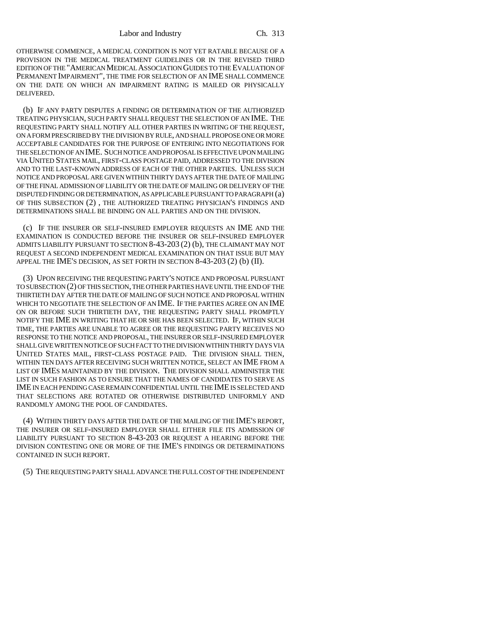OTHERWISE COMMENCE, A MEDICAL CONDITION IS NOT YET RATABLE BECAUSE OF A PROVISION IN THE MEDICAL TREATMENT GUIDELINES OR IN THE REVISED THIRD EDITION OF THE "AMERICAN MEDICAL ASSOCIATION GUIDES TO THE EVALUATION OF PERMANENT IMPAIRMENT", THE TIME FOR SELECTION OF AN IME SHALL COMMENCE ON THE DATE ON WHICH AN IMPAIRMENT RATING IS MAILED OR PHYSICALLY DELIVERED.

(b) IF ANY PARTY DISPUTES A FINDING OR DETERMINATION OF THE AUTHORIZED TREATING PHYSICIAN, SUCH PARTY SHALL REQUEST THE SELECTION OF AN IME. THE REQUESTING PARTY SHALL NOTIFY ALL OTHER PARTIES IN WRITING OF THE REQUEST, ON A FORM PRESCRIBED BY THE DIVISION BY RULE, AND SHALL PROPOSE ONE OR MORE ACCEPTABLE CANDIDATES FOR THE PURPOSE OF ENTERING INTO NEGOTIATIONS FOR THE SELECTION OF AN IME. SUCH NOTICE AND PROPOSAL IS EFFECTIVE UPON MAILING VIA UNITED STATES MAIL, FIRST-CLASS POSTAGE PAID, ADDRESSED TO THE DIVISION AND TO THE LAST-KNOWN ADDRESS OF EACH OF THE OTHER PARTIES. UNLESS SUCH NOTICE AND PROPOSAL ARE GIVEN WITHIN THIRTY DAYS AFTER THE DATE OF MAILING OF THE FINAL ADMISSION OF LIABILITY OR THE DATE OF MAILING OR DELIVERY OF THE DISPUTED FINDING OR DETERMINATION, AS APPLICABLE PURSUANT TO PARAGRAPH (a) OF THIS SUBSECTION (2) , THE AUTHORIZED TREATING PHYSICIAN'S FINDINGS AND DETERMINATIONS SHALL BE BINDING ON ALL PARTIES AND ON THE DIVISION.

(c) IF THE INSURER OR SELF-INSURED EMPLOYER REQUESTS AN IME AND THE EXAMINATION IS CONDUCTED BEFORE THE INSURER OR SELF-INSURED EMPLOYER ADMITS LIABILITY PURSUANT TO SECTION 8-43-203 (2) (b), THE CLAIMANT MAY NOT REQUEST A SECOND INDEPENDENT MEDICAL EXAMINATION ON THAT ISSUE BUT MAY APPEAL THE IME'S DECISION, AS SET FORTH IN SECTION 8-43-203 (2) (b) (II).

(3) UPON RECEIVING THE REQUESTING PARTY'S NOTICE AND PROPOSAL PURSUANT TO SUBSECTION (2) OF THIS SECTION, THE OTHER PARTIES HAVE UNTIL THE END OF THE THIRTIETH DAY AFTER THE DATE OF MAILING OF SUCH NOTICE AND PROPOSAL WITHIN WHICH TO NEGOTIATE THE SELECTION OF AN IME. IF THE PARTIES AGREE ON AN IME ON OR BEFORE SUCH THIRTIETH DAY, THE REQUESTING PARTY SHALL PROMPTLY NOTIFY THE IME IN WRITING THAT HE OR SHE HAS BEEN SELECTED. IF, WITHIN SUCH TIME, THE PARTIES ARE UNABLE TO AGREE OR THE REQUESTING PARTY RECEIVES NO RESPONSE TO THE NOTICE AND PROPOSAL, THE INSURER OR SELF-INSURED EMPLOYER SHALL GIVE WRITTEN NOTICE OF SUCH FACT TO THE DIVISION WITHIN THIRTY DAYS VIA UNITED STATES MAIL, FIRST-CLASS POSTAGE PAID. THE DIVISION SHALL THEN, WITHIN TEN DAYS AFTER RECEIVING SUCH WRITTEN NOTICE, SELECT AN IME FROM A LIST OF IMES MAINTAINED BY THE DIVISION. THE DIVISION SHALL ADMINISTER THE LIST IN SUCH FASHION AS TO ENSURE THAT THE NAMES OF CANDIDATES TO SERVE AS IME IN EACH PENDING CASE REMAIN CONFIDENTIAL UNTIL THE IME IS SELECTED AND THAT SELECTIONS ARE ROTATED OR OTHERWISE DISTRIBUTED UNIFORMLY AND RANDOMLY AMONG THE POOL OF CANDIDATES.

(4) WITHIN THIRTY DAYS AFTER THE DATE OF THE MAILING OF THE IME'S REPORT, THE INSURER OR SELF-INSURED EMPLOYER SHALL EITHER FILE ITS ADMISSION OF LIABILITY PURSUANT TO SECTION 8-43-203 OR REQUEST A HEARING BEFORE THE DIVISION CONTESTING ONE OR MORE OF THE IME'S FINDINGS OR DETERMINATIONS CONTAINED IN SUCH REPORT.

(5) THE REQUESTING PARTY SHALL ADVANCE THE FULL COST OF THE INDEPENDENT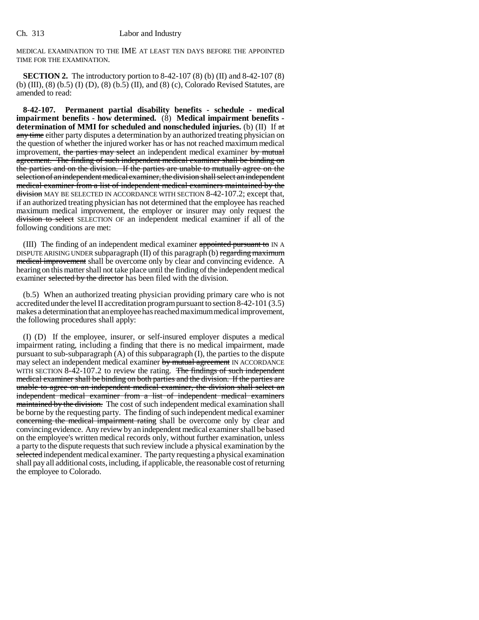MEDICAL EXAMINATION TO THE IME AT LEAST TEN DAYS BEFORE THE APPOINTED TIME FOR THE EXAMINATION.

**SECTION 2.** The introductory portion to 8-42-107 (8) (b) (II) and 8-42-107 (8) (b) (III), (8) (b.5) (I) (D), (8) (b.5) (II), and (8) (c), Colorado Revised Statutes, are amended to read:

**8-42-107. Permanent partial disability benefits - schedule - medical impairment benefits - how determined.** (8) **Medical impairment benefits determination of MMI for scheduled and nonscheduled injuries.** (b) (II) If at any time either party disputes a determination by an authorized treating physician on the question of whether the injured worker has or has not reached maximum medical improvement, the parties may select an independent medical examiner by mutual agreement. The finding of such independent medical examiner shall be binding on the parties and on the division. If the parties are unable to mutually agree on the selection of an independent medical examiner, the division shall select an independent medical examiner from a list of independent medical examiners maintained by the division MAY BE SELECTED IN ACCORDANCE WITH SECTION 8-42-107.2; except that, if an authorized treating physician has not determined that the employee has reached maximum medical improvement, the employer or insurer may only request the division to select SELECTION OF an independent medical examiner if all of the following conditions are met:

(III) The finding of an independent medical examiner appointed pursuant to IN A DISPUTE ARISING UNDER subparagraph  $(II)$  of this paragraph  $(b)$  regarding maximum medical improvement shall be overcome only by clear and convincing evidence. A hearing on this matter shall not take place until the finding of the independent medical examiner selected by the director has been filed with the division.

(b.5) When an authorized treating physician providing primary care who is not accredited under the level II accreditation program pursuant to section 8-42-101 (3.5) makes a determination that an employee has reached maximum medical improvement, the following procedures shall apply:

(I) (D) If the employee, insurer, or self-insured employer disputes a medical impairment rating, including a finding that there is no medical impairment, made pursuant to sub-subparagraph (A) of this subparagraph (I), the parties to the dispute may select an independent medical examiner by mutual agreement IN ACCORDANCE WITH SECTION 8-42-107.2 to review the rating. The findings of such independent medical examiner shall be binding on both parties and the division. If the parties are unable to agree on an independent medical examiner, the division shall select an independent medical examiner from a list of independent medical examiners maintained by the division. The cost of such independent medical examination shall be borne by the requesting party. The finding of such independent medical examiner concerning the medical impairment rating shall be overcome only by clear and convincing evidence. Any review by an independent medical examiner shall be based on the employee's written medical records only, without further examination, unless a party to the dispute requests that such review include a physical examination by the selected independent medical examiner. The party requesting a physical examination shall pay all additional costs, including, if applicable, the reasonable cost of returning the employee to Colorado.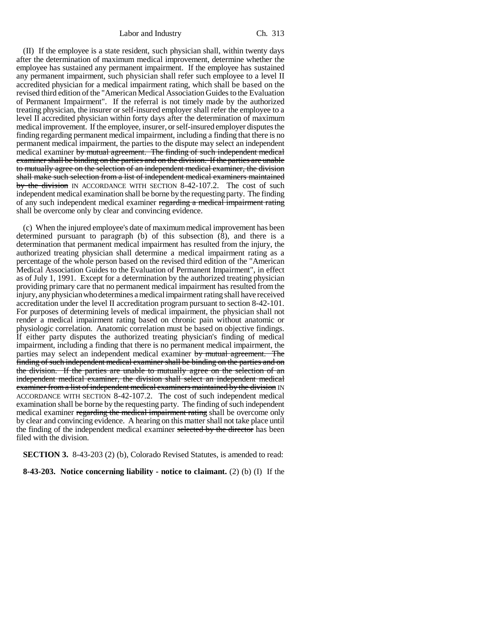(II) If the employee is a state resident, such physician shall, within twenty days after the determination of maximum medical improvement, determine whether the employee has sustained any permanent impairment. If the employee has sustained any permanent impairment, such physician shall refer such employee to a level II accredited physician for a medical impairment rating, which shall be based on the revised third edition of the "American Medical Association Guides to the Evaluation of Permanent Impairment". If the referral is not timely made by the authorized treating physician, the insurer or self-insured employer shall refer the employee to a level II accredited physician within forty days after the determination of maximum medical improvement. If the employee, insurer, or self-insured employer disputes the finding regarding permanent medical impairment, including a finding that there is no permanent medical impairment, the parties to the dispute may select an independent medical examiner by mutual agreement. The finding of such independent medical examiner shall be binding on the parties and on the division. If the parties are unable to mutually agree on the selection of an independent medical examiner, the division shall make such selection from a list of independent medical examiners maintained by the division IN ACCORDANCE WITH SECTION 8-42-107.2. The cost of such independent medical examination shall be borne by the requesting party. The finding of any such independent medical examiner regarding a medical impairment rating shall be overcome only by clear and convincing evidence.

(c) When the injured employee's date of maximum medical improvement has been determined pursuant to paragraph (b) of this subsection  $(\bar{8})$ , and there is a determination that permanent medical impairment has resulted from the injury, the authorized treating physician shall determine a medical impairment rating as a percentage of the whole person based on the revised third edition of the "American Medical Association Guides to the Evaluation of Permanent Impairment", in effect as of July 1, 1991. Except for a determination by the authorized treating physician providing primary care that no permanent medical impairment has resulted from the injury, any physician who determines a medical impairment rating shall have received accreditation under the level II accreditation program pursuant to section 8-42-101. For purposes of determining levels of medical impairment, the physician shall not render a medical impairment rating based on chronic pain without anatomic or physiologic correlation. Anatomic correlation must be based on objective findings. If either party disputes the authorized treating physician's finding of medical impairment, including a finding that there is no permanent medical impairment, the parties may select an independent medical examiner by mutual agreement. The finding of such independent medical examiner shall be binding on the parties and on the division. If the parties are unable to mutually agree on the selection of an independent medical examiner, the division shall select an independent medical examiner from a list of independent medical examiners maintained by the division IN ACCORDANCE WITH SECTION 8-42-107.2. The cost of such independent medical examination shall be borne by the requesting party. The finding of such independent medical examiner regarding the medical impairment rating shall be overcome only by clear and convincing evidence. A hearing on this matter shall not take place until the finding of the independent medical examiner selected by the director has been filed with the division.

**SECTION 3.** 8-43-203 (2) (b), Colorado Revised Statutes, is amended to read:

**8-43-203. Notice concerning liability - notice to claimant.** (2) (b) (I) If the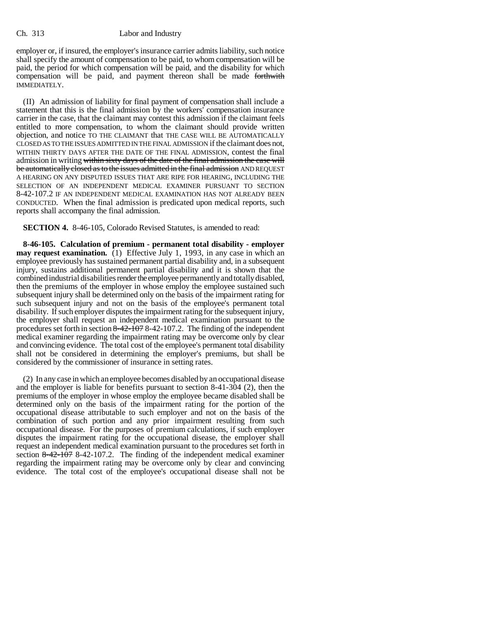## Ch. 313 Labor and Industry

employer or, if insured, the employer's insurance carrier admits liability, such notice shall specify the amount of compensation to be paid, to whom compensation will be paid, the period for which compensation will be paid, and the disability for which compensation will be paid, and payment thereon shall be made forthwith IMMEDIATELY.

(II) An admission of liability for final payment of compensation shall include a statement that this is the final admission by the workers' compensation insurance carrier in the case, that the claimant may contest this admission if the claimant feels entitled to more compensation, to whom the claimant should provide written objection, and notice TO THE CLAIMANT that THE CASE WILL BE AUTOMATICALLY CLOSED AS TO THE ISSUES ADMITTED IN THE FINAL ADMISSION if the claimant does not, WITHIN THIRTY DAYS AFTER THE DATE OF THE FINAL ADMISSION, contest the final admission in writing within sixty days of the date of the final admission the case will be automatically closed as to the issues admitted in the final admission AND REQUEST A HEARING ON ANY DISPUTED ISSUES THAT ARE RIPE FOR HEARING, INCLUDING THE SELECTION OF AN INDEPENDENT MEDICAL EXAMINER PURSUANT TO SECTION 8-42-107.2 IF AN INDEPENDENT MEDICAL EXAMINATION HAS NOT ALREADY BEEN CONDUCTED. When the final admission is predicated upon medical reports, such reports shall accompany the final admission.

**SECTION 4.** 8-46-105, Colorado Revised Statutes, is amended to read:

**8-46-105. Calculation of premium - permanent total disability - employer may request examination.** (1) Effective July 1, 1993, in any case in which an employee previously has sustained permanent partial disability and, in a subsequent injury, sustains additional permanent partial disability and it is shown that the combined industrial disabilities render the employee permanently and totally disabled, then the premiums of the employer in whose employ the employee sustained such subsequent injury shall be determined only on the basis of the impairment rating for such subsequent injury and not on the basis of the employee's permanent total disability. If such employer disputes the impairment rating for the subsequent injury, the employer shall request an independent medical examination pursuant to the procedures set forth in section  $8-42-107.2$ . The finding of the independent medical examiner regarding the impairment rating may be overcome only by clear and convincing evidence. The total cost of the employee's permanent total disability shall not be considered in determining the employer's premiums, but shall be considered by the commissioner of insurance in setting rates.

(2) In any case in which an employee becomes disabled by an occupational disease and the employer is liable for benefits pursuant to section 8-41-304 (2), then the premiums of the employer in whose employ the employee became disabled shall be determined only on the basis of the impairment rating for the portion of the occupational disease attributable to such employer and not on the basis of the combination of such portion and any prior impairment resulting from such occupational disease. For the purposes of premium calculations, if such employer disputes the impairment rating for the occupational disease, the employer shall request an independent medical examination pursuant to the procedures set forth in section 8-42-107 8-42-107.2. The finding of the independent medical examiner regarding the impairment rating may be overcome only by clear and convincing evidence. The total cost of the employee's occupational disease shall not be